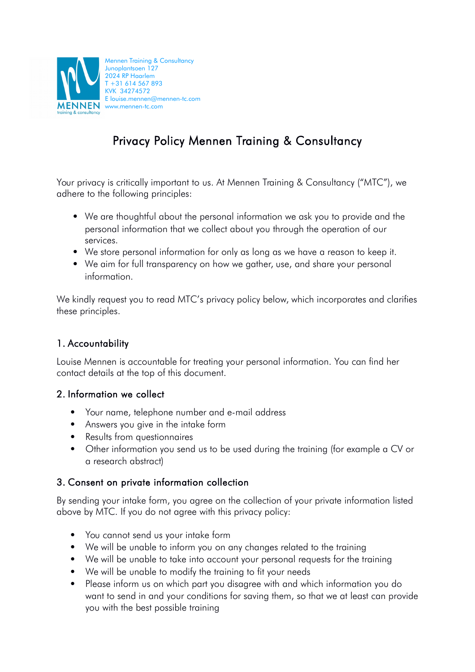

# Privacy Policy Mennen Training & Consultancy

Your privacy is critically important to us. At Mennen Training & Consultancy ("MTC"), we adhere to the following principles:

- We are thoughtful about the personal information we ask you to provide and the personal information that we collect about you through the operation of our services.
- We store personal information for only as long as we have a reason to keep it.
- We aim for full transparency on how we gather, use, and share your personal information.

We kindly request you to read MTC's privacy policy below, which incorporates and clarifies these principles.

## 1. Accountability

Louise Mennen is accountable for treating your personal information. You can find her contact details at the top of this document.

#### 2. Information we collect

- Your name, telephone number and e-mail address
- Answers you give in the intake form
- Results from questionnaires
- Other information you send us to be used during the training (for example a CV or a research abstract)

#### 3. Consent on private information collection

By sending your intake form, you agree on the collection of your private information listed above by MTC. If you do not agree with this privacy policy:

- You cannot send us your intake form
- We will be unable to inform you on any changes related to the training
- We will be unable to take into account your personal requests for the training
- We will be unable to modify the training to fit your needs
- Please inform us on which part you disagree with and which information you do want to send in and your conditions for saving them, so that we at least can provide you with the best possible training